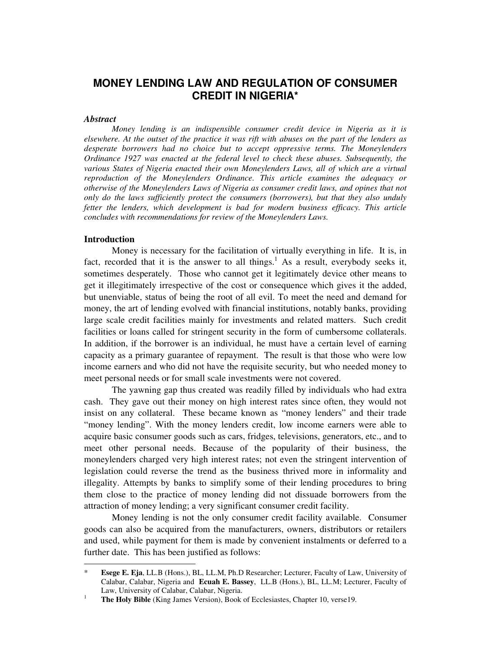# **MONEY LENDING LAW AND REGULATION OF CONSUMER CREDIT IN NIGERIA\***

#### *Abstract*

*Money lending is an indispensible consumer credit device in Nigeria as it is elsewhere. At the outset of the practice it was rift with abuses on the part of the lenders as desperate borrowers had no choice but to accept oppressive terms. The Moneylenders Ordinance 1927 was enacted at the federal level to check these abuses. Subsequently, the various States of Nigeria enacted their own Moneylenders Laws, all of which are a virtual reproduction of the Moneylenders Ordinance. This article examines the adequacy or otherwise of the Moneylenders Laws of Nigeria as consumer credit laws, and opines that not only do the laws sufficiently protect the consumers (borrowers), but that they also unduly fetter the lenders, which development is bad for modern business efficacy. This article concludes with recommendations for review of the Moneylenders Laws.* 

# **Introduction**

-

Money is necessary for the facilitation of virtually everything in life. It is, in fact, recorded that it is the answer to all things.<sup>1</sup> As a result, everybody seeks it, sometimes desperately. Those who cannot get it legitimately device other means to get it illegitimately irrespective of the cost or consequence which gives it the added, but unenviable, status of being the root of all evil. To meet the need and demand for money, the art of lending evolved with financial institutions, notably banks, providing large scale credit facilities mainly for investments and related matters. Such credit facilities or loans called for stringent security in the form of cumbersome collaterals. In addition, if the borrower is an individual, he must have a certain level of earning capacity as a primary guarantee of repayment. The result is that those who were low income earners and who did not have the requisite security, but who needed money to meet personal needs or for small scale investments were not covered.

The yawning gap thus created was readily filled by individuals who had extra cash. They gave out their money on high interest rates since often, they would not insist on any collateral. These became known as "money lenders" and their trade "money lending". With the money lenders credit, low income earners were able to acquire basic consumer goods such as cars, fridges, televisions, generators, etc., and to meet other personal needs. Because of the popularity of their business, the moneylenders charged very high interest rates; not even the stringent intervention of legislation could reverse the trend as the business thrived more in informality and illegality. Attempts by banks to simplify some of their lending procedures to bring them close to the practice of money lending did not dissuade borrowers from the attraction of money lending; a very significant consumer credit facility.

Money lending is not the only consumer credit facility available. Consumer goods can also be acquired from the manufacturers, owners, distributors or retailers and used, while payment for them is made by convenient instalments or deferred to a further date. This has been justified as follows:

<sup>\*</sup> **Esege E. Eja**, LL.B (Hons.), BL, LL.M, Ph.D Researcher; Lecturer, Faculty of Law, University of Calabar, Calabar, Nigeria and **Ecuah E. Bassey**, LL.B (Hons.), BL, LL.M; Lecturer, Faculty of Law, University of Calabar, Calabar, Nigeria. 1

**The Holy Bible** (King James Version), Book of Ecclesiastes, Chapter 10, verse19.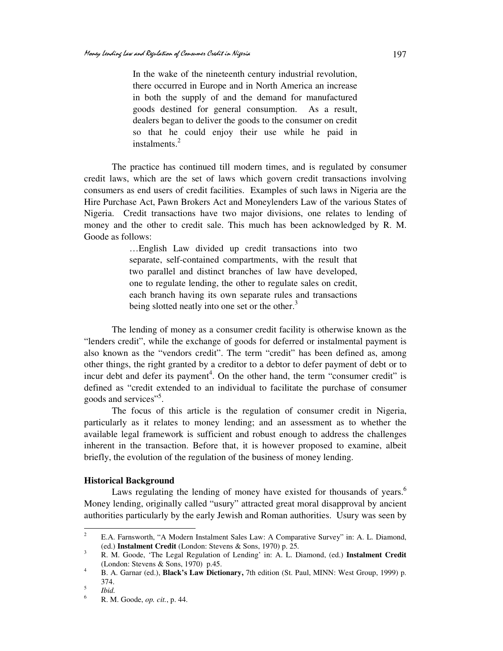In the wake of the nineteenth century industrial revolution, there occurred in Europe and in North America an increase in both the supply of and the demand for manufactured goods destined for general consumption. As a result, dealers began to deliver the goods to the consumer on credit so that he could enjoy their use while he paid in instalments.<sup>2</sup>

The practice has continued till modern times, and is regulated by consumer credit laws, which are the set of laws which govern credit transactions involving consumers as end users of credit facilities. Examples of such laws in Nigeria are the Hire Purchase Act, Pawn Brokers Act and Moneylenders Law of the various States of Nigeria. Credit transactions have two major divisions, one relates to lending of money and the other to credit sale. This much has been acknowledged by R. M. Goode as follows:

> …English Law divided up credit transactions into two separate, self-contained compartments, with the result that two parallel and distinct branches of law have developed, one to regulate lending, the other to regulate sales on credit, each branch having its own separate rules and transactions being slotted neatly into one set or the other.<sup>3</sup>

The lending of money as a consumer credit facility is otherwise known as the "lenders credit", while the exchange of goods for deferred or instalmental payment is also known as the "vendors credit". The term "credit" has been defined as, among other things, the right granted by a creditor to a debtor to defer payment of debt or to incur debt and defer its payment<sup>4</sup>. On the other hand, the term "consumer credit" is defined as "credit extended to an individual to facilitate the purchase of consumer goods and services"<sup>5</sup>.

The focus of this article is the regulation of consumer credit in Nigeria, particularly as it relates to money lending; and an assessment as to whether the available legal framework is sufficient and robust enough to address the challenges inherent in the transaction. Before that, it is however proposed to examine, albeit briefly, the evolution of the regulation of the business of money lending.

# **Historical Background**

Laws regulating the lending of money have existed for thousands of years.<sup>6</sup> Money lending, originally called "usury" attracted great moral disapproval by ancient authorities particularly by the early Jewish and Roman authorities. Usury was seen by

 $\frac{1}{2}$  E.A. Farnsworth, "A Modern Instalment Sales Law: A Comparative Survey" in: A. L. Diamond, (ed.) **Instalment Credit** (London: Stevens & Sons, 1970) p. 25.

<sup>3</sup> R. M. Goode, 'The Legal Regulation of Lending' in: A. L. Diamond, (ed.) **Instalment Credit**  (London: Stevens & Sons, 1970) p.45.

<sup>4</sup> B. A. Garnar (ed.), **Black's Law Dictionary,** 7th edition (St. Paul, MINN: West Group, 1999) p. 374.

<sup>5</sup> *Ibid.*

<sup>6</sup> R. M. Goode, *op. cit.*, p. 44.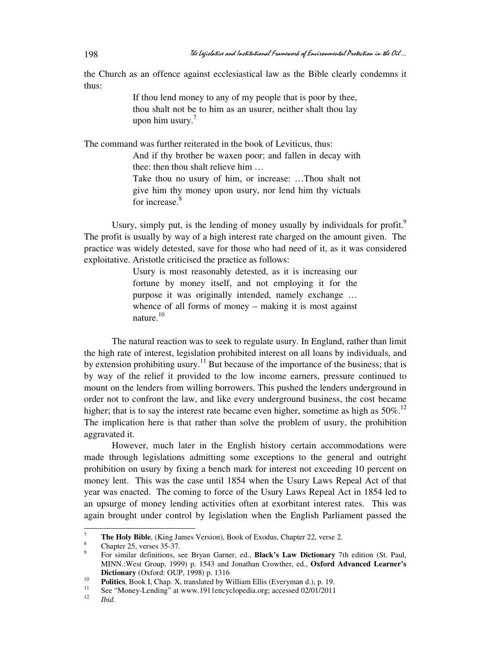the Church as an offence against ecclesiastical law as the Bible clearly condemns it thus:

> If thou lend money to any of my people that is poor by thee, thou shalt not be to him as an usurer, neither shalt thou lay upon him usury. $7$

The command was further reiterated in the book of Leviticus, thus:

And if thy brother be waxen poor; and fallen in decay with thee: then thou shalt relieve him …

Take thou no usury of him, or increase: …Thou shalt not give him thy money upon usury, nor lend him thy victuals for increase.<sup>8</sup>

Usury, simply put, is the lending of money usually by individuals for profit.<sup>9</sup> The profit is usually by way of a high interest rate charged on the amount given. The practice was widely detested, save for those who had need of it, as it was considered exploitative. Aristotle criticised the practice as follows:

> Usury is most reasonably detested, as it is increasing our fortune by money itself, and not employing it for the purpose it was originally intended, namely exchange … whence of all forms of money – making it is most against nature.<sup>10</sup>

The natural reaction was to seek to regulate usury. In England, rather than limit the high rate of interest, legislation prohibited interest on all loans by individuals, and by extension prohibiting usury.<sup>11</sup> But because of the importance of the business; that is by way of the relief it provided to the low income earners, pressure continued to mount on the lenders from willing borrowers. This pushed the lenders underground in order not to confront the law, and like every underground business, the cost became higher; that is to say the interest rate became even higher, sometime as high as  $50\%$ <sup>12</sup> The implication here is that rather than solve the problem of usury, the prohibition aggravated it.

However, much later in the English history certain accommodations were made through legislations admitting some exceptions to the general and outright prohibition on usury by fixing a bench mark for interest not exceeding 10 percent on money lent. This was the case until 1854 when the Usury Laws Repeal Act of that year was enacted. The coming to force of the Usury Laws Repeal Act in 1854 led to an upsurge of money lending activities often at exorbitant interest rates. This was again brought under control by legislation when the English Parliament passed the

-

<sup>7</sup> **The Holy Bible**, (King James Version), Book of Exodus, Chapter 22, verse 2.

<sup>8</sup> Chapter 25, verses 35-37.

<sup>9</sup> For similar definitions, see Bryan Garner, ed., **Black's Law Dictionary** 7th edition (St. Paul, MINN.:West Group, 1999) p. 1543 and Jonathan Crowther, ed., **Oxford Advanced Learner's Dictionary** (Oxford: OUP, 1998) p. 1316 10

**Politics**, Book I, Chap. X, translated by William Ellis (Everyman d.), p. 19.

<sup>11</sup> See "Money-Lending" at www.1911encyclopedia.org; accessed 02/01/2011 12

*Ibid.*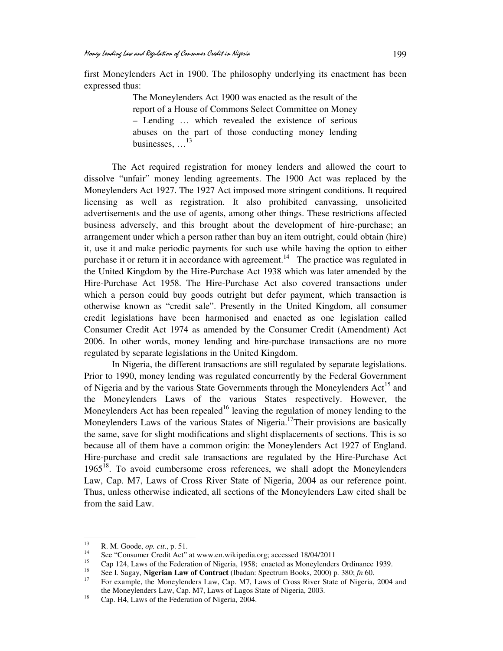first Moneylenders Act in 1900. The philosophy underlying its enactment has been expressed thus:

> The Moneylenders Act 1900 was enacted as the result of the report of a House of Commons Select Committee on Money – Lending … which revealed the existence of serious abuses on the part of those conducting money lending businesses, …<sup>13</sup>

The Act required registration for money lenders and allowed the court to dissolve "unfair" money lending agreements. The 1900 Act was replaced by the Moneylenders Act 1927. The 1927 Act imposed more stringent conditions. It required licensing as well as registration. It also prohibited canvassing, unsolicited advertisements and the use of agents, among other things. These restrictions affected business adversely, and this brought about the development of hire-purchase; an arrangement under which a person rather than buy an item outright, could obtain (hire) it, use it and make periodic payments for such use while having the option to either purchase it or return it in accordance with agreement.<sup>14</sup> The practice was regulated in the United Kingdom by the Hire-Purchase Act 1938 which was later amended by the Hire-Purchase Act 1958. The Hire-Purchase Act also covered transactions under which a person could buy goods outright but defer payment, which transaction is otherwise known as "credit sale". Presently in the United Kingdom, all consumer credit legislations have been harmonised and enacted as one legislation called Consumer Credit Act 1974 as amended by the Consumer Credit (Amendment) Act 2006. In other words, money lending and hire-purchase transactions are no more regulated by separate legislations in the United Kingdom.

In Nigeria, the different transactions are still regulated by separate legislations. Prior to 1990, money lending was regulated concurrently by the Federal Government of Nigeria and by the various State Governments through the Moneylenders Act<sup>15</sup> and the Moneylenders Laws of the various States respectively. However, the Moneylenders Act has been repealed<sup>16</sup> leaving the regulation of money lending to the Moneylenders Laws of the various States of Nigeria.<sup>17</sup>Their provisions are basically the same, save for slight modifications and slight displacements of sections. This is so because all of them have a common origin: the Moneylenders Act 1927 of England. Hire-purchase and credit sale transactions are regulated by the Hire-Purchase Act  $1965<sup>18</sup>$ . To avoid cumbersome cross references, we shall adopt the Moneylenders Law, Cap. M7, Laws of Cross River State of Nigeria, 2004 as our reference point. Thus, unless otherwise indicated, all sections of the Moneylenders Law cited shall be from the said Law.

 $13$ <sup>13</sup> R. M. Goode, *op. cit*., p. 51.

<sup>&</sup>lt;sup>14</sup> See "Consumer Credit Act" at www.en.wikipedia.org; accessed  $18/04/2011$ 

<sup>&</sup>lt;sup>15</sup> Cap 124, Laws of the Federation of Nigeria, 1958; enacted as Moneylenders Ordinance 1939.

<sup>16</sup> See I. Sagay, **Nigerian Law of Contract** (Ibadan: Spectrum Books, 2000) p. 380; *fn* 60.

<sup>17</sup> For example, the Moneylenders Law, Cap. M7, Laws of Cross River State of Nigeria, 2004 and the Moneylenders Law, Cap. M7, Laws of Lagos State of Nigeria, 2003.

<sup>18</sup> Cap. H4, Laws of the Federation of Nigeria, 2004.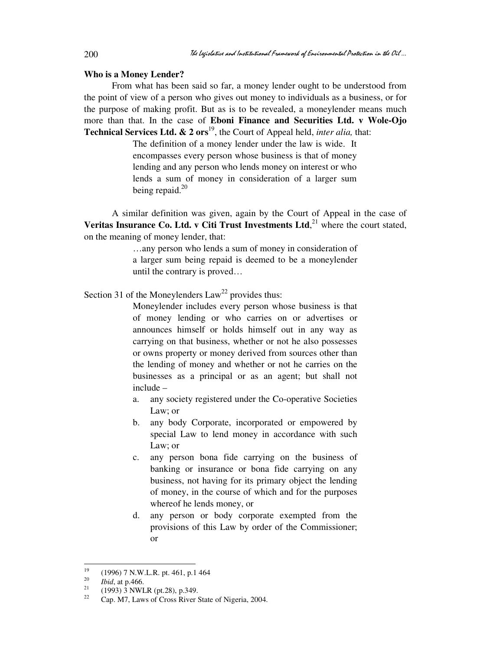#### **Who is a Money Lender?**

From what has been said so far, a money lender ought to be understood from the point of view of a person who gives out money to individuals as a business, or for the purpose of making profit. But as is to be revealed, a moneylender means much more than that. In the case of **Eboni Finance and Securities Ltd. v Wole-Ojo Technical Services Ltd. & 2 ors**<sup>19</sup>, the Court of Appeal held, *inter alia*, that:

> The definition of a money lender under the law is wide. It encompasses every person whose business is that of money lending and any person who lends money on interest or who lends a sum of money in consideration of a larger sum being repaid. $20$

A similar definition was given, again by the Court of Appeal in the case of **Veritas Insurance Co. Ltd. v Citi Trust Investments Ltd.**<sup>21</sup> where the court stated, on the meaning of money lender, that:

> …any person who lends a sum of money in consideration of a larger sum being repaid is deemed to be a moneylender until the contrary is proved…

Section 31 of the Moneylenders  $Law<sup>22</sup>$  provides thus:

Moneylender includes every person whose business is that of money lending or who carries on or advertises or announces himself or holds himself out in any way as carrying on that business, whether or not he also possesses or owns property or money derived from sources other than the lending of money and whether or not he carries on the businesses as a principal or as an agent; but shall not include –

- a. any society registered under the Co-operative Societies Law; or
- b. any body Corporate, incorporated or empowered by special Law to lend money in accordance with such Law; or
- c. any person bona fide carrying on the business of banking or insurance or bona fide carrying on any business, not having for its primary object the lending of money, in the course of which and for the purposes whereof he lends money, or
- d. any person or body corporate exempted from the provisions of this Law by order of the Commissioner; or

<sup>19</sup> <sup>19</sup> (1996) 7 N.W.L.R. pt. 461, p.1 464

<sup>20</sup>  $\frac{20}{21}$  *Ibid*, at p.466.

<sup>&</sup>lt;sup>21</sup> (1993) 3 NWLR (pt.28), p.349.

<sup>22</sup> Cap. M7, Laws of Cross River State of Nigeria, 2004.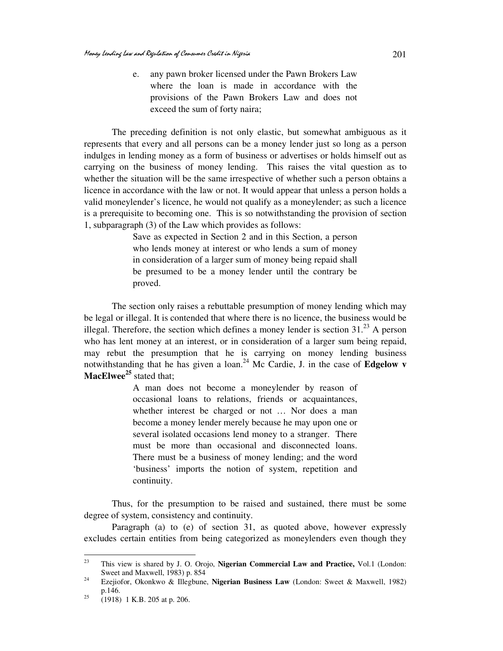e. any pawn broker licensed under the Pawn Brokers Law where the loan is made in accordance with the provisions of the Pawn Brokers Law and does not exceed the sum of forty naira;

The preceding definition is not only elastic, but somewhat ambiguous as it represents that every and all persons can be a money lender just so long as a person indulges in lending money as a form of business or advertises or holds himself out as carrying on the business of money lending. This raises the vital question as to whether the situation will be the same irrespective of whether such a person obtains a licence in accordance with the law or not. It would appear that unless a person holds a valid moneylender's licence, he would not qualify as a moneylender; as such a licence is a prerequisite to becoming one. This is so notwithstanding the provision of section 1, subparagraph (3) of the Law which provides as follows:

> Save as expected in Section 2 and in this Section, a person who lends money at interest or who lends a sum of money in consideration of a larger sum of money being repaid shall be presumed to be a money lender until the contrary be proved.

The section only raises a rebuttable presumption of money lending which may be legal or illegal. It is contended that where there is no licence, the business would be illegal. Therefore, the section which defines a money lender is section  $31<sup>23</sup>$  A person who has lent money at an interest, or in consideration of a larger sum being repaid, may rebut the presumption that he is carrying on money lending business notwithstanding that he has given a loan.<sup>24</sup> Mc Cardie, J. in the case of **Edgelow v MacElwee<sup>25</sup>** stated that;

> A man does not become a moneylender by reason of occasional loans to relations, friends or acquaintances, whether interest be charged or not … Nor does a man become a money lender merely because he may upon one or several isolated occasions lend money to a stranger. There must be more than occasional and disconnected loans. There must be a business of money lending; and the word 'business' imports the notion of system, repetition and continuity.

Thus, for the presumption to be raised and sustained, there must be some degree of system, consistency and continuity.

Paragraph (a) to (e) of section 31, as quoted above, however expressly excludes certain entities from being categorized as moneylenders even though they

 $23$ <sup>23</sup> This view is shared by J. O. Orojo, **Nigerian Commercial Law and Practice,** Vol.1 (London: Sweet and Maxwell, 1983) p. 854

<sup>24</sup> Ezejiofor, Okonkwo & Illegbune, **Nigerian Business Law** (London: Sweet & Maxwell, 1982) p.146.

 $25$  (1918) 1 K.B. 205 at p. 206.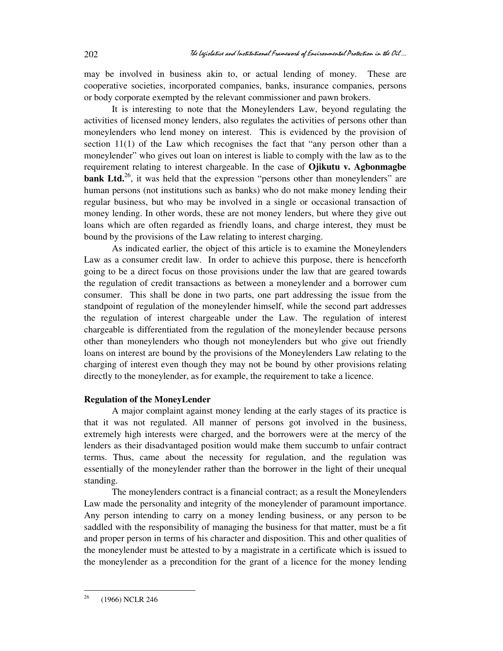may be involved in business akin to, or actual lending of money. These are cooperative societies, incorporated companies, banks, insurance companies, persons or body corporate exempted by the relevant commissioner and pawn brokers.

It is interesting to note that the Moneylenders Law, beyond regulating the activities of licensed money lenders, also regulates the activities of persons other than moneylenders who lend money on interest. This is evidenced by the provision of section 11(1) of the Law which recognises the fact that "any person other than a moneylender" who gives out loan on interest is liable to comply with the law as to the requirement relating to interest chargeable. In the case of **Ojikutu v. Agbonmagbe bank Ltd.**<sup>26</sup>, it was held that the expression "persons other than moneylenders" are human persons (not institutions such as banks) who do not make money lending their regular business, but who may be involved in a single or occasional transaction of money lending. In other words, these are not money lenders, but where they give out loans which are often regarded as friendly loans, and charge interest, they must be bound by the provisions of the Law relating to interest charging.

As indicated earlier, the object of this article is to examine the Moneylenders Law as a consumer credit law. In order to achieve this purpose, there is henceforth going to be a direct focus on those provisions under the law that are geared towards the regulation of credit transactions as between a moneylender and a borrower cum consumer. This shall be done in two parts, one part addressing the issue from the standpoint of regulation of the moneylender himself, while the second part addresses the regulation of interest chargeable under the Law. The regulation of interest chargeable is differentiated from the regulation of the moneylender because persons other than moneylenders who though not moneylenders but who give out friendly loans on interest are bound by the provisions of the Moneylenders Law relating to the charging of interest even though they may not be bound by other provisions relating directly to the moneylender, as for example, the requirement to take a licence.

## **Regulation of the MoneyLender**

A major complaint against money lending at the early stages of its practice is that it was not regulated. All manner of persons got involved in the business, extremely high interests were charged, and the borrowers were at the mercy of the lenders as their disadvantaged position would make them succumb to unfair contract terms. Thus, came about the necessity for regulation, and the regulation was essentially of the moneylender rather than the borrower in the light of their unequal standing.

The moneylenders contract is a financial contract; as a result the Moneylenders Law made the personality and integrity of the moneylender of paramount importance. Any person intending to carry on a money lending business, or any person to be saddled with the responsibility of managing the business for that matter, must be a fit and proper person in terms of his character and disposition. This and other qualities of the moneylender must be attested to by a magistrate in a certificate which is issued to the moneylender as a precondition for the grant of a licence for the money lending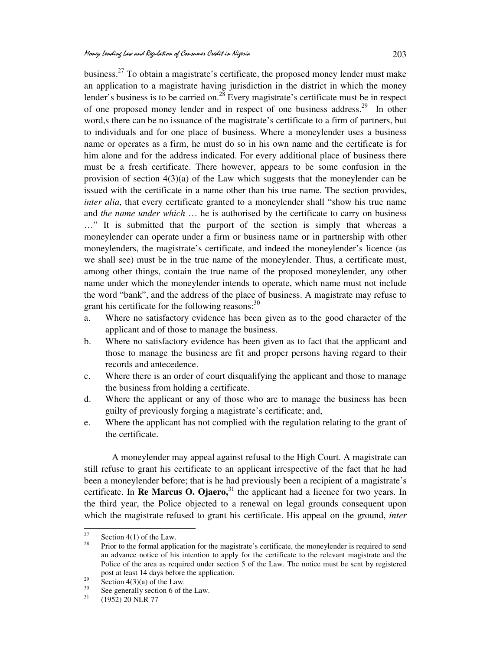business.<sup>27</sup> To obtain a magistrate's certificate, the proposed money lender must make an application to a magistrate having jurisdiction in the district in which the money lender's business is to be carried on.<sup>28</sup> Every magistrate's certificate must be in respect of one proposed money lender and in respect of one business address.<sup>29</sup> In other word,s there can be no issuance of the magistrate's certificate to a firm of partners, but to individuals and for one place of business. Where a moneylender uses a business name or operates as a firm, he must do so in his own name and the certificate is for him alone and for the address indicated. For every additional place of business there must be a fresh certificate. There however, appears to be some confusion in the provision of section  $4(3)(a)$  of the Law which suggests that the moneylender can be issued with the certificate in a name other than his true name. The section provides, *inter alia*, that every certificate granted to a moneylender shall "show his true name and *the name under which* … he is authorised by the certificate to carry on business …" It is submitted that the purport of the section is simply that whereas a moneylender can operate under a firm or business name or in partnership with other moneylenders, the magistrate's certificate, and indeed the moneylender's licence (as we shall see) must be in the true name of the moneylender. Thus, a certificate must, among other things, contain the true name of the proposed moneylender, any other name under which the moneylender intends to operate, which name must not include the word "bank", and the address of the place of business. A magistrate may refuse to grant his certificate for the following reasons: $30$ 

- a. Where no satisfactory evidence has been given as to the good character of the applicant and of those to manage the business.
- b. Where no satisfactory evidence has been given as to fact that the applicant and those to manage the business are fit and proper persons having regard to their records and antecedence.
- c. Where there is an order of court disqualifying the applicant and those to manage the business from holding a certificate.
- d. Where the applicant or any of those who are to manage the business has been guilty of previously forging a magistrate's certificate; and,
- e. Where the applicant has not complied with the regulation relating to the grant of the certificate.

A moneylender may appeal against refusal to the High Court. A magistrate can still refuse to grant his certificate to an applicant irrespective of the fact that he had been a moneylender before; that is he had previously been a recipient of a magistrate's certificate. In **Re Marcus O. Ojaero**,<sup>31</sup> the applicant had a licence for two years. In the third year, the Police objected to a renewal on legal grounds consequent upon which the magistrate refused to grant his certificate. His appeal on the ground, *inter* 

<sup>27</sup>  $\frac{27}{28}$  Section 4(1) of the Law.

Prior to the formal application for the magistrate's certificate, the moneylender is required to send an advance notice of his intention to apply for the certificate to the relevant magistrate and the Police of the area as required under section 5 of the Law. The notice must be sent by registered post at least 14 days before the application.

<sup>&</sup>lt;sup>29</sup> Section 4(3)(a) of the Law.

<sup>&</sup>lt;sup>30</sup> See generally section 6 of the Law.<br><sup>31</sup> (1052) 20 NJ B <sup>77</sup>

<sup>31</sup> (1952) 20 NLR 77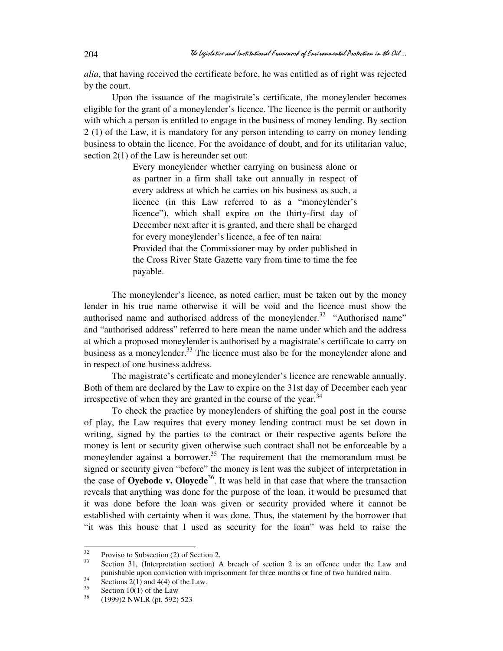*alia*, that having received the certificate before, he was entitled as of right was rejected by the court.

Upon the issuance of the magistrate's certificate, the moneylender becomes eligible for the grant of a moneylender's licence. The licence is the permit or authority with which a person is entitled to engage in the business of money lending. By section 2 (1) of the Law, it is mandatory for any person intending to carry on money lending business to obtain the licence. For the avoidance of doubt, and for its utilitarian value, section 2(1) of the Law is hereunder set out:

> Every moneylender whether carrying on business alone or as partner in a firm shall take out annually in respect of every address at which he carries on his business as such, a licence (in this Law referred to as a "moneylender's licence"), which shall expire on the thirty-first day of December next after it is granted, and there shall be charged for every moneylender's licence, a fee of ten naira: Provided that the Commissioner may by order published in the Cross River State Gazette vary from time to time the fee payable.

The moneylender's licence, as noted earlier, must be taken out by the money lender in his true name otherwise it will be void and the licence must show the authorised name and authorised address of the moneylender.<sup>32</sup> "Authorised name" and "authorised address" referred to here mean the name under which and the address at which a proposed moneylender is authorised by a magistrate's certificate to carry on business as a moneylender. $33$  The licence must also be for the moneylender alone and in respect of one business address.

The magistrate's certificate and moneylender's licence are renewable annually. Both of them are declared by the Law to expire on the 31st day of December each year irrespective of when they are granted in the course of the year. $34$ 

 To check the practice by moneylenders of shifting the goal post in the course of play, the Law requires that every money lending contract must be set down in writing, signed by the parties to the contract or their respective agents before the money is lent or security given otherwise such contract shall not be enforceable by a moneylender against a borrower.<sup>35</sup> The requirement that the memorandum must be signed or security given "before" the money is lent was the subject of interpretation in the case of **Oyebode v. Oloyede**<sup>36</sup>. It was held in that case that where the transaction reveals that anything was done for the purpose of the loan, it would be presumed that it was done before the loan was given or security provided where it cannot be established with certainty when it was done. Thus, the statement by the borrower that "it was this house that I used as security for the loan" was held to raise the

<sup>32</sup>  $3^3$  Proviso to Subsection (2) of Section 2.

Section 31, (Interpretation section) A breach of section 2 is an offence under the Law and punishable upon conviction with imprisonment for three months or fine of two hundred naira.

 $rac{34}{35}$  Sections 2(1) and 4(4) of the Law.

 $\frac{35}{36}$  Section 10(1) of the Law

<sup>36</sup> (1999)2 NWLR (pt. 592) 523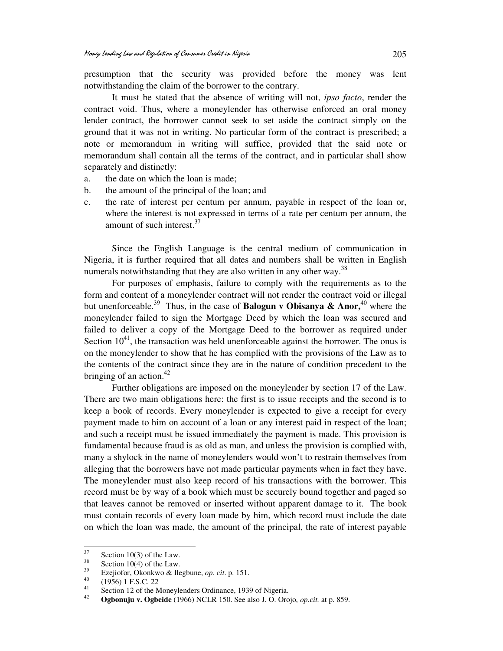presumption that the security was provided before the money was lent notwithstanding the claim of the borrower to the contrary.

It must be stated that the absence of writing will not, *ipso facto*, render the contract void. Thus, where a moneylender has otherwise enforced an oral money lender contract, the borrower cannot seek to set aside the contract simply on the ground that it was not in writing. No particular form of the contract is prescribed; a note or memorandum in writing will suffice, provided that the said note or memorandum shall contain all the terms of the contract, and in particular shall show separately and distinctly:

- a. the date on which the loan is made;
- b. the amount of the principal of the loan; and
- c. the rate of interest per centum per annum, payable in respect of the loan or, where the interest is not expressed in terms of a rate per centum per annum, the amount of such interest.<sup>37</sup>

Since the English Language is the central medium of communication in Nigeria, it is further required that all dates and numbers shall be written in English numerals notwithstanding that they are also written in any other way.<sup>38</sup>

For purposes of emphasis, failure to comply with the requirements as to the form and content of a moneylender contract will not render the contract void or illegal but unenforceable.<sup>39</sup> Thus, in the case of **Balogun v Obisanya & Anor**,<sup>40</sup> where the moneylender failed to sign the Mortgage Deed by which the loan was secured and failed to deliver a copy of the Mortgage Deed to the borrower as required under Section  $10^{41}$ , the transaction was held unenforceable against the borrower. The onus is on the moneylender to show that he has complied with the provisions of the Law as to the contents of the contract since they are in the nature of condition precedent to the bringing of an action. $42$ 

Further obligations are imposed on the moneylender by section 17 of the Law. There are two main obligations here: the first is to issue receipts and the second is to keep a book of records. Every moneylender is expected to give a receipt for every payment made to him on account of a loan or any interest paid in respect of the loan; and such a receipt must be issued immediately the payment is made. This provision is fundamental because fraud is as old as man, and unless the provision is complied with, many a shylock in the name of moneylenders would won't to restrain themselves from alleging that the borrowers have not made particular payments when in fact they have. The moneylender must also keep record of his transactions with the borrower. This record must be by way of a book which must be securely bound together and paged so that leaves cannot be removed or inserted without apparent damage to it. The book must contain records of every loan made by him, which record must include the date on which the loan was made, the amount of the principal, the rate of interest payable

<sup>37</sup>  $\frac{37}{38}$  Section 10(3) of the Law.

 $rac{38}{39}$  Section 10(4) of the Law.

<sup>&</sup>lt;sup>39</sup> Ezejiofor, Okonkwo & Ilegbune, *op. cit.* p. 151.

 $^{40}$  (1956) 1 F.S.C. 22

Section 12 of the Moneylenders Ordinance, 1939 of Nigeria.

<sup>42</sup> **Ogbonuju v. Ogbeide** (1966) NCLR 150. See also J. O. Orojo, *op.cit.* at p. 859.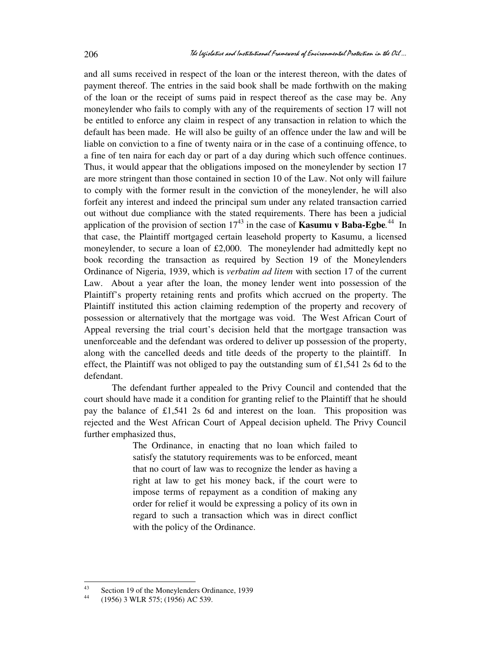and all sums received in respect of the loan or the interest thereon, with the dates of payment thereof. The entries in the said book shall be made forthwith on the making of the loan or the receipt of sums paid in respect thereof as the case may be. Any moneylender who fails to comply with any of the requirements of section 17 will not be entitled to enforce any claim in respect of any transaction in relation to which the default has been made. He will also be guilty of an offence under the law and will be liable on conviction to a fine of twenty naira or in the case of a continuing offence, to a fine of ten naira for each day or part of a day during which such offence continues. Thus, it would appear that the obligations imposed on the moneylender by section 17 are more stringent than those contained in section 10 of the Law. Not only will failure to comply with the former result in the conviction of the moneylender, he will also forfeit any interest and indeed the principal sum under any related transaction carried out without due compliance with the stated requirements. There has been a judicial application of the provision of section  $17^{43}$  in the case of **Kasumu v Baba-Egbe**.<sup>44</sup> In that case, the Plaintiff mortgaged certain leasehold property to Kasumu, a licensed moneylender, to secure a loan of £2,000. The moneylender had admittedly kept no book recording the transaction as required by Section 19 of the Moneylenders Ordinance of Nigeria, 1939, which is *verbatim ad litem* with section 17 of the current Law. About a year after the loan, the money lender went into possession of the Plaintiff's property retaining rents and profits which accrued on the property. The Plaintiff instituted this action claiming redemption of the property and recovery of possession or alternatively that the mortgage was void. The West African Court of Appeal reversing the trial court's decision held that the mortgage transaction was unenforceable and the defendant was ordered to deliver up possession of the property, along with the cancelled deeds and title deeds of the property to the plaintiff. In effect, the Plaintiff was not obliged to pay the outstanding sum of £1,541 2s 6d to the defendant.

The defendant further appealed to the Privy Council and contended that the court should have made it a condition for granting relief to the Plaintiff that he should pay the balance of £1,541 2s 6d and interest on the loan. This proposition was rejected and the West African Court of Appeal decision upheld. The Privy Council further emphasized thus,

> The Ordinance, in enacting that no loan which failed to satisfy the statutory requirements was to be enforced, meant that no court of law was to recognize the lender as having a right at law to get his money back, if the court were to impose terms of repayment as a condition of making any order for relief it would be expressing a policy of its own in regard to such a transaction which was in direct conflict with the policy of the Ordinance.

 $43$ <sup>43</sup> Section 19 of the Moneylenders Ordinance, 1939

<sup>(1956) 3</sup> WLR 575; (1956) AC 539.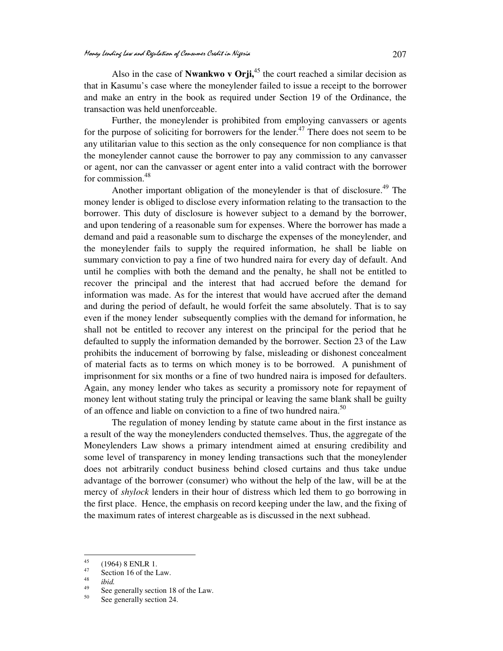Also in the case of **Nwankwo v Orii**,<sup>45</sup> the court reached a similar decision as that in Kasumu's case where the moneylender failed to issue a receipt to the borrower and make an entry in the book as required under Section 19 of the Ordinance, the transaction was held unenforceable.

Further, the moneylender is prohibited from employing canvassers or agents for the purpose of soliciting for borrowers for the lender.<sup>47</sup> There does not seem to be any utilitarian value to this section as the only consequence for non compliance is that the moneylender cannot cause the borrower to pay any commission to any canvasser or agent, nor can the canvasser or agent enter into a valid contract with the borrower for commission.<sup>48</sup>

Another important obligation of the moneylender is that of disclosure.<sup>49</sup> The money lender is obliged to disclose every information relating to the transaction to the borrower. This duty of disclosure is however subject to a demand by the borrower, and upon tendering of a reasonable sum for expenses. Where the borrower has made a demand and paid a reasonable sum to discharge the expenses of the moneylender, and the moneylender fails to supply the required information, he shall be liable on summary conviction to pay a fine of two hundred naira for every day of default. And until he complies with both the demand and the penalty, he shall not be entitled to recover the principal and the interest that had accrued before the demand for information was made. As for the interest that would have accrued after the demand and during the period of default, he would forfeit the same absolutely. That is to say even if the money lender subsequently complies with the demand for information, he shall not be entitled to recover any interest on the principal for the period that he defaulted to supply the information demanded by the borrower. Section 23 of the Law prohibits the inducement of borrowing by false, misleading or dishonest concealment of material facts as to terms on which money is to be borrowed. A punishment of imprisonment for six months or a fine of two hundred naira is imposed for defaulters. Again, any money lender who takes as security a promissory note for repayment of money lent without stating truly the principal or leaving the same blank shall be guilty of an offence and liable on conviction to a fine of two hundred naira.<sup>50</sup>

The regulation of money lending by statute came about in the first instance as a result of the way the moneylenders conducted themselves. Thus, the aggregate of the Moneylenders Law shows a primary intendment aimed at ensuring credibility and some level of transparency in money lending transactions such that the moneylender does not arbitrarily conduct business behind closed curtains and thus take undue advantage of the borrower (consumer) who without the help of the law, will be at the mercy of *shylock* lenders in their hour of distress which led them to go borrowing in the first place. Hence, the emphasis on record keeping under the law, and the fixing of the maximum rates of interest chargeable as is discussed in the next subhead.

 $45$  $^{45}$  (1964) 8 ENLR 1.

Section 16 of the Law. 48

*ibid.*

<sup>&</sup>lt;sup>49</sup> See generally section 18 of the Law.

See generally section 24.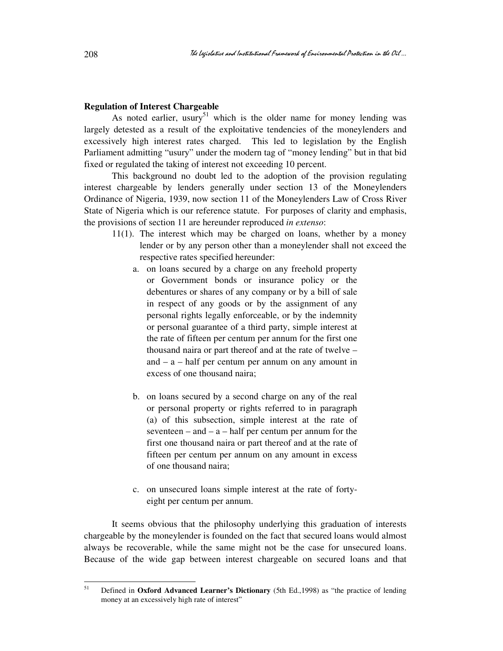## **Regulation of Interest Chargeable**

As noted earlier, usury<sup>51</sup> which is the older name for money lending was largely detested as a result of the exploitative tendencies of the moneylenders and excessively high interest rates charged. This led to legislation by the English Parliament admitting "usury" under the modern tag of "money lending" but in that bid fixed or regulated the taking of interest not exceeding 10 percent.

This background no doubt led to the adoption of the provision regulating interest chargeable by lenders generally under section 13 of the Moneylenders Ordinance of Nigeria, 1939, now section 11 of the Moneylenders Law of Cross River State of Nigeria which is our reference statute. For purposes of clarity and emphasis, the provisions of section 11 are hereunder reproduced *in extenso*:

- 11(1). The interest which may be charged on loans, whether by a money lender or by any person other than a moneylender shall not exceed the respective rates specified hereunder:
	- a. on loans secured by a charge on any freehold property or Government bonds or insurance policy or the debentures or shares of any company or by a bill of sale in respect of any goods or by the assignment of any personal rights legally enforceable, or by the indemnity or personal guarantee of a third party, simple interest at the rate of fifteen per centum per annum for the first one thousand naira or part thereof and at the rate of twelve – and  $-$  a  $-$  half per centum per annum on any amount in excess of one thousand naira;
	- b. on loans secured by a second charge on any of the real or personal property or rights referred to in paragraph (a) of this subsection, simple interest at the rate of seventeen – and –  $a$  – half per centum per annum for the first one thousand naira or part thereof and at the rate of fifteen per centum per annum on any amount in excess of one thousand naira;
	- c. on unsecured loans simple interest at the rate of fortyeight per centum per annum.

It seems obvious that the philosophy underlying this graduation of interests chargeable by the moneylender is founded on the fact that secured loans would almost always be recoverable, while the same might not be the case for unsecured loans. Because of the wide gap between interest chargeable on secured loans and that

<sup>51</sup> <sup>51</sup> Defined in **Oxford Advanced Learner's Dictionary** (5th Ed.,1998) as "the practice of lending money at an excessively high rate of interest"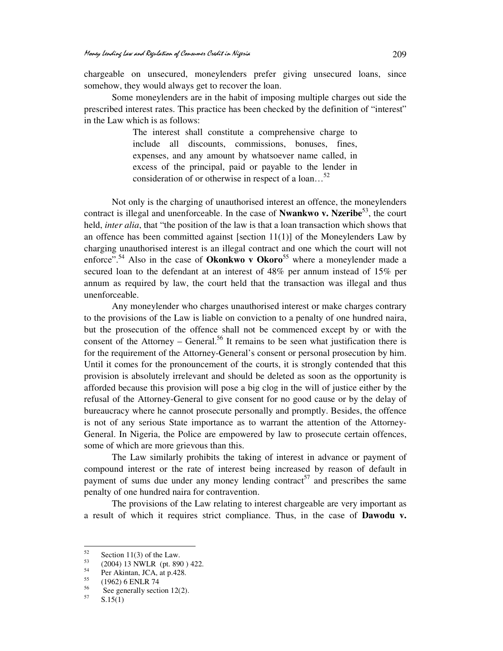chargeable on unsecured, moneylenders prefer giving unsecured loans, since somehow, they would always get to recover the loan.

 Some moneylenders are in the habit of imposing multiple charges out side the prescribed interest rates. This practice has been checked by the definition of "interest" in the Law which is as follows:

> The interest shall constitute a comprehensive charge to include all discounts, commissions, bonuses, fines, expenses, and any amount by whatsoever name called, in excess of the principal, paid or payable to the lender in consideration of or otherwise in respect of a loan…<sup>52</sup>

Not only is the charging of unauthorised interest an offence, the moneylenders contract is illegal and unenforceable. In the case of **Nwankwo v. Nzeribe**<sup>53</sup>, the court held, *inter alia*, that "the position of the law is that a loan transaction which shows that an offence has been committed against [section  $11(1)$ ] of the Moneylenders Law by charging unauthorised interest is an illegal contract and one which the court will not enforce".<sup>54</sup> Also in the case of **Okonkwo v Okoro**<sup>55</sup> where a moneylender made a secured loan to the defendant at an interest of 48% per annum instead of 15% per annum as required by law, the court held that the transaction was illegal and thus unenforceable.

Any moneylender who charges unauthorised interest or make charges contrary to the provisions of the Law is liable on conviction to a penalty of one hundred naira, but the prosecution of the offence shall not be commenced except by or with the consent of the Attorney – General.<sup>56</sup> It remains to be seen what justification there is for the requirement of the Attorney-General's consent or personal prosecution by him. Until it comes for the pronouncement of the courts, it is strongly contended that this provision is absolutely irrelevant and should be deleted as soon as the opportunity is afforded because this provision will pose a big clog in the will of justice either by the refusal of the Attorney-General to give consent for no good cause or by the delay of bureaucracy where he cannot prosecute personally and promptly. Besides, the offence is not of any serious State importance as to warrant the attention of the Attorney-General. In Nigeria, the Police are empowered by law to prosecute certain offences, some of which are more grievous than this.

The Law similarly prohibits the taking of interest in advance or payment of compound interest or the rate of interest being increased by reason of default in payment of sums due under any money lending contract<sup>57</sup> and prescribes the same penalty of one hundred naira for contravention.

The provisions of the Law relating to interest chargeable are very important as a result of which it requires strict compliance. Thus, in the case of **Dawodu v.** 

<sup>52</sup>  $\frac{52}{53}$  Section 11(3) of the Law.

 $^{53}$  (2004) 13 NWLR (pt. 890 ) 422.

 $55$  Per Akintan, JCA, at p.428.

 $^{55}$  (1962) 6 ENLR 74

<sup>&</sup>lt;sup>56</sup> See generally section 12(2).

 $S.15(1)$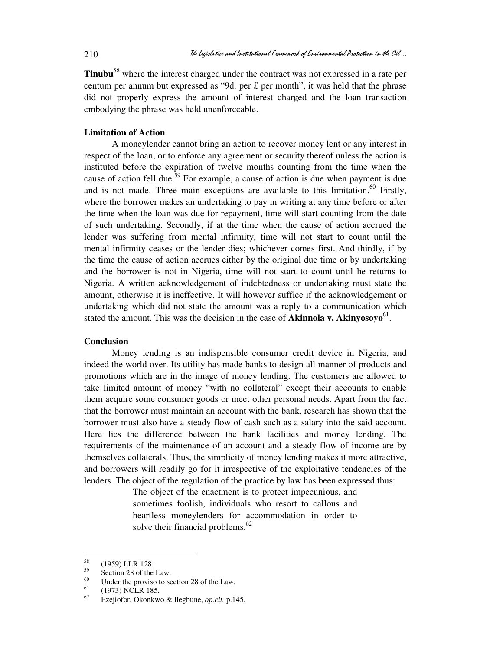**Tinubu**<sup>58</sup> where the interest charged under the contract was not expressed in a rate per centum per annum but expressed as "9d. per  $\pounds$  per month", it was held that the phrase did not properly express the amount of interest charged and the loan transaction embodying the phrase was held unenforceable.

# **Limitation of Action**

A moneylender cannot bring an action to recover money lent or any interest in respect of the loan, or to enforce any agreement or security thereof unless the action is instituted before the expiration of twelve months counting from the time when the cause of action fell due.<sup>59</sup> For example, a cause of action is due when payment is due and is not made. Three main exceptions are available to this limitation.<sup>60</sup> Firstly, where the borrower makes an undertaking to pay in writing at any time before or after the time when the loan was due for repayment, time will start counting from the date of such undertaking. Secondly, if at the time when the cause of action accrued the lender was suffering from mental infirmity, time will not start to count until the mental infirmity ceases or the lender dies; whichever comes first. And thirdly, if by the time the cause of action accrues either by the original due time or by undertaking and the borrower is not in Nigeria, time will not start to count until he returns to Nigeria. A written acknowledgement of indebtedness or undertaking must state the amount, otherwise it is ineffective. It will however suffice if the acknowledgement or undertaking which did not state the amount was a reply to a communication which stated the amount. This was the decision in the case of **Akinnola v. Akinyosoyo**<sup>61</sup>.

#### **Conclusion**

Money lending is an indispensible consumer credit device in Nigeria, and indeed the world over. Its utility has made banks to design all manner of products and promotions which are in the image of money lending. The customers are allowed to take limited amount of money "with no collateral" except their accounts to enable them acquire some consumer goods or meet other personal needs. Apart from the fact that the borrower must maintain an account with the bank, research has shown that the borrower must also have a steady flow of cash such as a salary into the said account. Here lies the difference between the bank facilities and money lending. The requirements of the maintenance of an account and a steady flow of income are by themselves collaterals. Thus, the simplicity of money lending makes it more attractive, and borrowers will readily go for it irrespective of the exploitative tendencies of the lenders. The object of the regulation of the practice by law has been expressed thus:

> The object of the enactment is to protect impecunious, and sometimes foolish, individuals who resort to callous and heartless moneylenders for accommodation in order to solve their financial problems.<sup>62</sup>

<sup>58</sup>  $^{58}$  (1959) LLR 128.

 $59<sup>59</sup>$  Section 28 of the Law.

<sup>&</sup>lt;sup>60</sup> Under the proviso to section 28 of the Law.<br><sup>61</sup> (1072) NGI B 195

 $^{61}$  (1973) NCLR 185.

<sup>62</sup> Ezejiofor, Okonkwo & Ilegbune, *op.cit.* p.145.